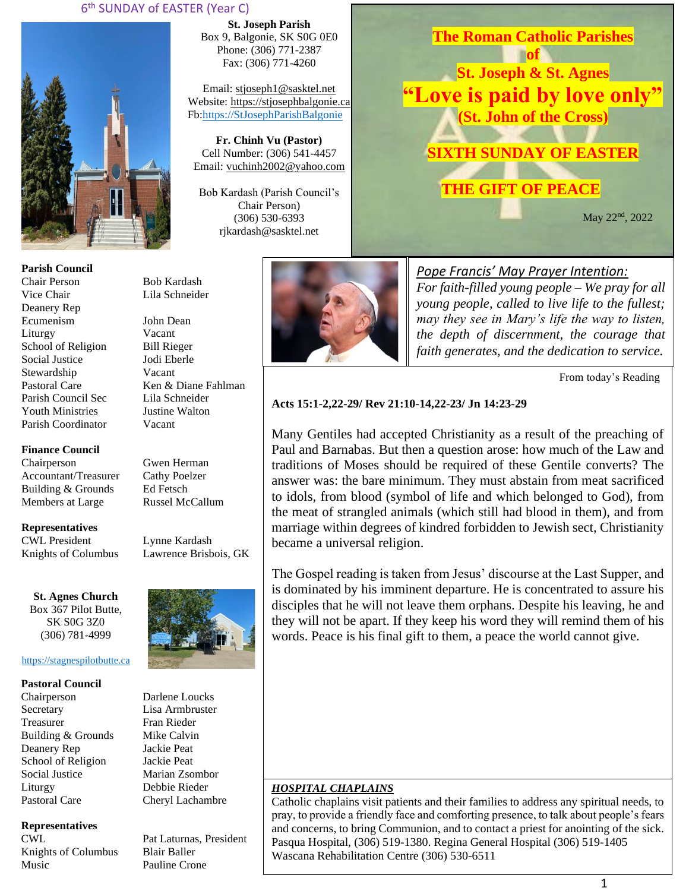## 6 th SUNDAY of EASTER (Year C)



**Parish Council** Chair Person Bob Kardash Vice Chair Lila Schneider Deanery Rep Ecumenism John Dean Liturgy Vacant School of Religion Bill Rieger Social Justice Jodi Eberle Stewardship Vacant Pastoral Care Ken & Diane Fahlman Parish Council Sec Lila Schneider Youth Ministries Justine Walton Parish Coordinator Vacant

**Finance Council**

Chairperson Gwen Herman Accountant/Treasurer Cathy Poelzer<br>Building & Grounds Ed Fetsch Building & Grounds Members at Large Russel McCallum

**Representatives**

CWL President Lynne Kardash Knights of Columbus Lawrence Brisbois, GK

**St. Agnes Church** Box 367 Pilot Butte, SK S0G 3Z0 (306) 781-4999

### [https://stagnespilotbutte.ca](https://stagnespilotbutte.ca/)

#### **Pastoral Council**

Chairperson Darlene Loucks Secretary Lisa Armbruster Treasurer Fran Rieder Building & Grounds Mike Calvin Deanery Rep Jackie Peat School of Religion Jackie Peat Social Justice Marian Zsombor Liturgy Debbie Rieder Pastoral Care Cheryl Lachambre

### **Representatives**

Knights of Columbus Blair Baller Music Pauline Crone

**St. Joseph Parish** Box 9, Balgonie, SK S0G 0E0 Phone: (306) 771-2387 Fax: (306) 771-4260

Email: [stjoseph1@sasktel.net](mailto:stjoseph1@sasktel.net) Website: [https://stjosephbalgonie.ca](https://stjosephbalgonie.ca/) Fb[:https://StJosephParishBalgonie](https://stjosephparishbalgonie/)

**Fr. Chinh Vu (Pastor)** Cell Number: (306) 541-4457 Email: [vuchinh2002@yahoo.com](mailto:vuchinh2002@yahoo.com)

Bob Kardash (Parish Council's Chair Person) (306) 530-6393 rjkardash@sasktel.net



**of St. Joseph & St. Agnes "Love is paid by love only" (St. John of the Cross) SIXTH SUNDAY OF EASTER THE GIFT OF PEACE**

**The Roman Catholic Parishes** 

May 22nd, 2022

# *Pope Francis' May Prayer Intention:*

*For faith-filled young people – We pray for all young people, called to live life to the fullest; may they see in Mary's life the way to listen, the depth of discernment, the courage that faith generates, and the dedication to service.* 

From today's Reading

### **Acts 15:1-2,22-29/ Rev 21:10-14,22-23/ Jn 14:23-29**

Many Gentiles had accepted Christianity as a result of the preaching of Paul and Barnabas. But then a question arose: how much of the Law and traditions of Moses should be required of these Gentile converts? The answer was: the bare minimum. They must abstain from meat sacrificed to idols, from blood (symbol of life and which belonged to God), from the meat of strangled animals (which still had blood in them), and from marriage within degrees of kindred forbidden to Jewish sect, Christianity became a universal religion.

The Gospel reading is taken from Jesus' discourse at the Last Supper, and is dominated by his imminent departure. He is concentrated to assure his disciples that he will not leave them orphans. Despite his leaving, he and they will not be apart. If they keep his word they will remind them of his words. Peace is his final gift to them, a peace the world cannot give.

### *HOSPITAL CHAPLAINS*

Catholic chaplains visit patients and their families to address any spiritual needs, to pray, to provide a friendly face and comforting presence, to talk about people's fears and concerns, to bring Communion, and to contact a priest for anointing of the sick. Pasqua Hospital, (306) 519-1380. Regina General Hospital (306) 519-1405 Wascana Rehabilitation Centre (306) 530-6511



CWL Pat Laturnas, President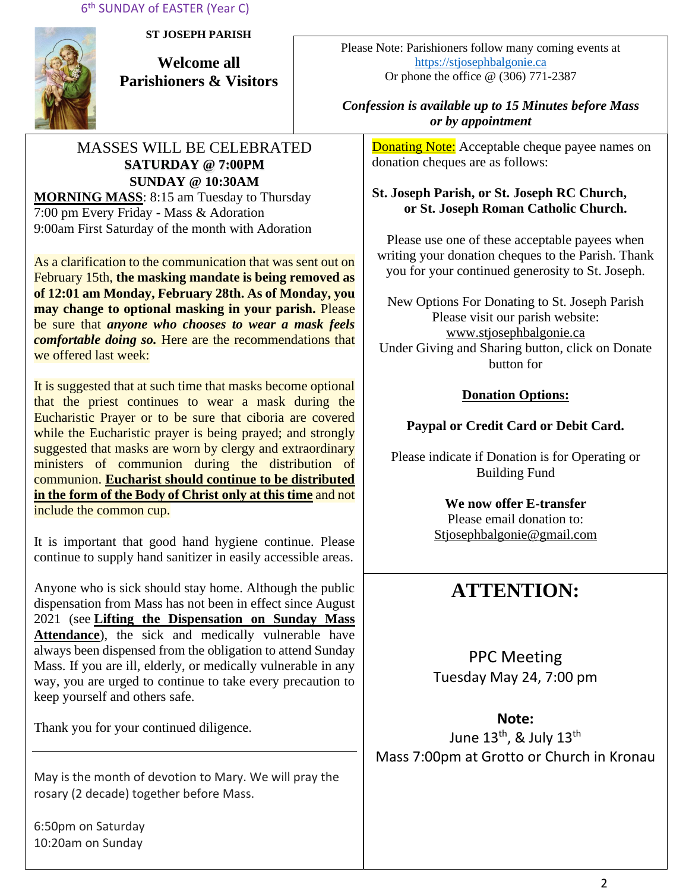6 th SUNDAY of EASTER (Year C)



**ST JOSEPH PARISH**

**Welcome all Parishioners & Visitors**

# MASSES WILL BE CELEBRATED **SATURDAY @ 7:00PM SUNDAY @ 10:30AM MORNING MASS**: 8:15 am Tuesday to Thursday

7:00 pm Every Friday - Mass & Adoration 9:00am First Saturday of the month with Adoration

As a clarification to the communication that was sent out on February 15th, **the masking mandate is being removed as of 12:01 am Monday, February 28th. As of Monday, you may change to optional masking in your parish.** Please be sure that *anyone who chooses to wear a mask feels comfortable doing so.* Here are the recommendations that we offered last week:

It is suggested that at such time that masks become optional that the priest continues to wear a mask during the Eucharistic Prayer or to be sure that ciboria are covered while the Eucharistic prayer is being prayed; and strongly suggested that masks are worn by clergy and extraordinary ministers of communion during the distribution of communion. **Eucharist should continue to be distributed in the form of the Body of Christ only at this time** and not include the common cup.

It is important that good hand hygiene continue. Please continue to supply hand sanitizer in easily accessible areas.

Anyone who is sick should stay home. Although the public dispensation from Mass has not been in effect since August 2021 (see **[Lifting the Dispensation on Sunday Mass](https://email-mg.flocknote.com/c/eJwVTruOwyAQ_Bq7M1oDxjQU1-Q_NgvEnAlE3j2d8vch0mhezUwM-2r0bucSNOgv7OoBtFcxGmOc9saCd3CnyUKunc7WJSnqz_kItMNqKW9g3ZYpk8ukacvGgbcR9TbXcIi8eDI_k74N4EXHlR6loeJTEY6qpX8eMpbXIeAHma-rJUtpjyUWfqXGKKW3hf9axPfyROYFRdJIjdJ8BRb12-9Yx0lGPiVV1ZJ8AD2CREI)  [Attendance](https://email-mg.flocknote.com/c/eJwVTruOwyAQ_Bq7M1oDxjQU1-Q_NgvEnAlE3j2d8vch0mhezUwM-2r0bucSNOgv7OoBtFcxGmOc9saCd3CnyUKunc7WJSnqz_kItMNqKW9g3ZYpk8ukacvGgbcR9TbXcIi8eDI_k74N4EXHlR6loeJTEY6qpX8eMpbXIeAHma-rJUtpjyUWfqXGKKW3hf9axPfyROYFRdJIjdJ8BRb12-9Yx0lGPiVV1ZJ8AD2CREI)**), the sick and medically vulnerable have always been dispensed from the obligation to attend Sunday Mass. If you are ill, elderly, or medically vulnerable in any way, you are urged to continue to take every precaution to keep yourself and others safe.

Thank you for your continued diligence.

May is the month of devotion to Mary. We will pray the rosary (2 decade) together before Mass.

6:50pm on Saturday 10:20am on Sunday

Please Note: Parishioners follow many coming events at [https://stjosephbalgonie.ca](https://stjosephbalgonie.ca/) Or phone the office @ (306) 771-2387

# *Confession is available up to 15 Minutes before Mass or by appointment*

**Donating Note:** Acceptable cheque payee names on donation cheques are as follows:

# **St. Joseph Parish, or St. Joseph RC Church, or St. Joseph Roman Catholic Church.**

Please use one of these acceptable payees when writing your donation cheques to the Parish. Thank you for your continued generosity to St. Joseph.

New Options For Donating to St. Joseph Parish Please visit our parish website: [www.stjosephbalgonie.ca](http://www.stjosephbalgonie.ca/) Under Giving and Sharing button, click on Donate button for

# **Donation Options:**

# **Paypal or Credit Card or Debit Card.**

Please indicate if Donation is for Operating or Building Fund

> **We now offer E-transfer** Please email donation to: [Stjosephbalgonie@gmail.com](mailto:Stjosephbalgonie@gmail.com)

# **ATTENTION:**

PPC Meeting Tuesday May 24, 7:00 pm

**Note:**  June  $13<sup>th</sup>$ , & July  $13<sup>th</sup>$ Mass 7:00pm at Grotto or Church in Kronau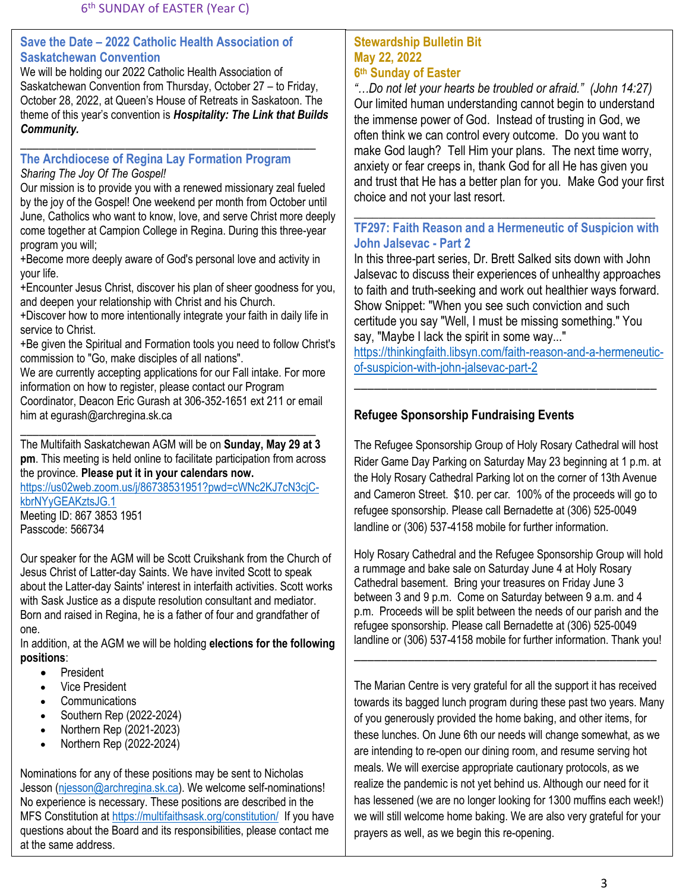## **Save the Date – 2022 Catholic Health Association of Saskatchewan Convention**

We will be holding our 2022 Catholic Health Association of Saskatchewan Convention from Thursday, October 27 – to Friday, October 28, 2022, at Queen's House of Retreats in Saskatoon. The theme of this year's convention is *Hospitality: The Link that Builds Community.*

### **The Archdiocese of Regina Lay Formation Program** *Sharing The Joy Of The Gospel!*

\_\_\_\_\_\_\_\_\_\_\_\_\_\_\_\_\_\_\_\_\_\_\_\_\_\_\_\_\_\_\_\_\_\_\_\_\_\_\_\_\_\_\_\_\_\_\_\_

Our mission is to provide you with a renewed missionary zeal fueled by the joy of the Gospel! One weekend per month from October until June, Catholics who want to know, love, and serve Christ more deeply come together at Campion College in Regina. During this three-year program you will;

+Become more deeply aware of God's personal love and activity in your life.

+Encounter Jesus Christ, discover his plan of sheer goodness for you, and deepen your relationship with Christ and his Church.

+Discover how to more intentionally integrate your faith in daily life in service to Christ.

+Be given the Spiritual and Formation tools you need to follow Christ's commission to "Go, make disciples of all nations".

We are currently accepting applications for our Fall intake. For more information on how to register, please contact our Program

Coordinator, Deacon Eric Gurash at 306-352-1651 ext 211 or email him at [egurash@archregina.sk.ca](mailto:egurash@archregina.sk.ca)

\_\_\_\_\_\_\_\_\_\_\_\_\_\_\_\_\_\_\_\_\_\_\_\_\_\_\_\_\_\_\_\_\_\_\_\_\_\_\_\_\_\_\_\_\_\_\_\_ The Multifaith Saskatchewan AGM will be on **Sunday, May 29 at 3 pm**. This meeting is held online to facilitate participation from across the province. **Please put it in your calendars now.**

[https://us02web.zoom.us/j/86738531951?pwd=cWNc2KJ7cN3cjC](https://us02web.zoom.us/j/86738531951?pwd=cWNc2KJ7cN3cjC-kbrNYyGEAKztsJG.1)[kbrNYyGEAKztsJG.1](https://us02web.zoom.us/j/86738531951?pwd=cWNc2KJ7cN3cjC-kbrNYyGEAKztsJG.1) Meeting ID: 867 3853 1951

Passcode: 566734

Our speaker for the AGM will be Scott Cruikshank from the Church of Jesus Christ of Latter-day Saints. We have invited Scott to speak about the Latter-day Saints' interest in interfaith activities. Scott works with Sask Justice as a dispute resolution consultant and mediator. Born and raised in Regina, he is a father of four and grandfather of one.

In addition, at the AGM we will be holding **elections for the following positions**:

- President
- Vice President
- **Communications**
- Southern Rep (2022-2024)
- Northern Rep (2021-2023)
- Northern Rep (2022-2024)

Nominations for any of these positions may be sent to Nicholas Jesson [\(njesson@archregina.sk.ca\)](mailto:njesson@archregina.sk.ca). We welcome self-nominations! No experience is necessary. These positions are described in the MFS Constitution a[t https://multifaithsask.org/constitution/](https://multifaithsask.org/constitution/) If you have questions about the Board and its responsibilities, please contact me at the same address.

## **Stewardship Bulletin Bit May 22, 2022 6 th Sunday of Easter**

*"…Do not let your hearts be troubled or afraid." (John 14:27)* Our limited human understanding cannot begin to understand the immense power of God. Instead of trusting in God, we often think we can control every outcome. Do you want to make God laugh? Tell Him your plans. The next time worry, anxiety or fear creeps in, thank God for all He has given you and trust that He has a better plan for you. Make God your first choice and not your last resort.

## \_\_\_\_\_\_\_\_\_\_\_\_\_\_\_\_\_\_\_\_\_\_\_\_\_\_\_\_\_\_\_\_\_\_\_\_\_\_\_\_\_\_\_\_\_\_\_\_\_ **TF297: Faith Reason and a Hermeneutic of Suspicion with John Jalsevac - Part 2**

In this three-part series, Dr. Brett Salked sits down with John Jalsevac to discuss their experiences of unhealthy approaches to faith and truth-seeking and work out healthier ways forward. Show Snippet: "When you see such conviction and such certitude you say "Well, I must be missing something." You say, "Maybe I lack the spirit in some way..."

[https://thinkingfaith.libsyn.com/faith-reason-and-a-hermeneutic](https://thinkingfaith.libsyn.com/faith-reason-and-a-hermeneutic-of-suspicion-with-john-jalsevac-part-2)[of-suspicion-with-john-jalsevac-part-2](https://thinkingfaith.libsyn.com/faith-reason-and-a-hermeneutic-of-suspicion-with-john-jalsevac-part-2)

\_\_\_\_\_\_\_\_\_\_\_\_\_\_\_\_\_\_\_\_\_\_\_\_\_\_\_\_\_\_\_\_\_\_\_\_\_\_\_\_\_\_\_\_\_

# **Refugee Sponsorship Fundraising Events**

The Refugee Sponsorship Group of Holy Rosary Cathedral will host Rider Game Day Parking on Saturday May 23 beginning at 1 p.m. at the Holy Rosary Cathedral Parking lot on the corner of 13th Avenue and Cameron Street. \$10. per car. 100% of the proceeds will go to refugee sponsorship. Please call Bernadette at (306) 525-0049 landline or (306) 537-4158 mobile for further information.

Holy Rosary Cathedral and the Refugee Sponsorship Group will hold a rummage and bake sale on Saturday June 4 at Holy Rosary Cathedral basement. Bring your treasures on Friday June 3 between 3 and 9 p.m. Come on Saturday between 9 a.m. and 4 p.m. Proceeds will be split between the needs of our parish and the refugee sponsorship. Please call Bernadette at (306) 525-0049 landline or (306) 537-4158 mobile for further information. Thank you!

\_\_\_\_\_\_\_\_\_\_\_\_\_\_\_\_\_\_\_\_\_\_\_\_\_\_\_\_\_\_\_\_\_\_\_\_\_\_\_\_\_\_\_\_\_

The Marian Centre is very grateful for all the support it has received towards its bagged lunch program during these past two years. Many of you generously provided the home baking, and other items, for these lunches. On June 6th our needs will change somewhat, as we are intending to re-open our dining room, and resume serving hot meals. We will exercise appropriate cautionary protocols, as we realize the pandemic is not yet behind us. Although our need for it has lessened (we are no longer looking for 1300 muffins each week!) we will still welcome home baking. We are also very grateful for your prayers as well, as we begin this re-opening.